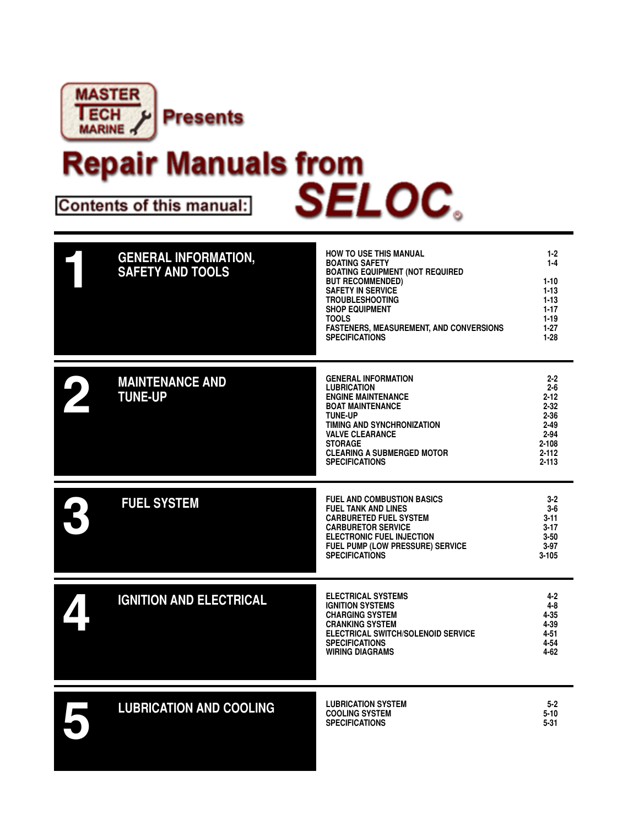

# **Repair Manuals from** Contents of this manual: SELOC.

| <b>GENERAL INFORMATION,</b><br><b>SAFETY AND TOOLS</b> | <b>HOW TO USE THIS MANUAL</b><br><b>BOATING SAFETY</b><br><b>BOATING EQUIPMENT (NOT REQUIRED</b><br><b>BUT RECOMMENDED)</b><br><b>SAFETY IN SERVICE</b><br><b>TROUBLESHOOTING</b><br><b>SHOP EQUIPMENT</b><br><b>TOOLS</b><br>FASTENERS, MEASUREMENT, AND CONVERSIONS<br><b>SPECIFICATIONS</b> | $1-2$<br>$1 - 4$<br>$1 - 10$<br>$1 - 13$<br>$1 - 13$<br>$1-17$<br>$1 - 19$<br>$1-27$<br>$1-28$                        |
|--------------------------------------------------------|------------------------------------------------------------------------------------------------------------------------------------------------------------------------------------------------------------------------------------------------------------------------------------------------|-----------------------------------------------------------------------------------------------------------------------|
| <b>MAINTENANCE AND</b><br><b>TUNE-UP</b>               | <b>GENERAL INFORMATION</b><br><b>LUBRICATION</b><br><b>ENGINE MAINTENANCE</b><br><b>BOAT MAINTENANCE</b><br><b>TUNE-UP</b><br>TIMING AND SYNCHRONIZATION<br><b>VALVE CLEARANCE</b><br><b>STORAGE</b><br><b>CLEARING A SUBMERGED MOTOR</b><br><b>SPECIFICATIONS</b>                             | $2 - 2$<br>$2 - 6$<br>$2 - 12$<br>$2 - 32$<br>$2 - 36$<br>$2 - 49$<br>$2 - 94$<br>$2 - 108$<br>$2 - 112$<br>$2 - 113$ |
| <b>FUEL SYSTEM</b>                                     | <b>FUEL AND COMBUSTION BASICS</b><br><b>FUEL TANK AND LINES</b><br><b>CARBURETED FUEL SYSTEM</b><br><b>CARBURETOR SERVICE</b><br><b>ELECTRONIC FUEL INJECTION</b><br>FUEL PUMP (LOW PRESSURE) SERVICE<br><b>SPECIFICATIONS</b>                                                                 | $3-2$<br>$3-6$<br>$3 - 11$<br>$3 - 17$<br>$3 - 50$<br>$3-97$<br>$3 - 105$                                             |
| <b>IGNITION AND ELECTRICAL</b>                         | <b>ELECTRICAL SYSTEMS</b><br><b>IGNITION SYSTEMS</b><br><b>CHARGING SYSTEM</b><br><b>CRANKING SYSTEM</b><br><b>ELECTRICAL SWITCH/SOLENOID SERVICE</b><br><b>SPECIFICATIONS</b><br><b>WIRING DIAGRAMS</b>                                                                                       | $4 - 2$<br>4-8<br>$4 - 35$<br>4-39<br>$4 - 51$<br>4-54<br>4-62                                                        |
| <b>LUBRICATION AND COOLING</b>                         | <b>LUBRICATION SYSTEM</b><br><b>COOLING SYSTEM</b><br><b>SPECIFICATIONS</b>                                                                                                                                                                                                                    | $5 - 2$<br>$5 - 10$<br>5-31                                                                                           |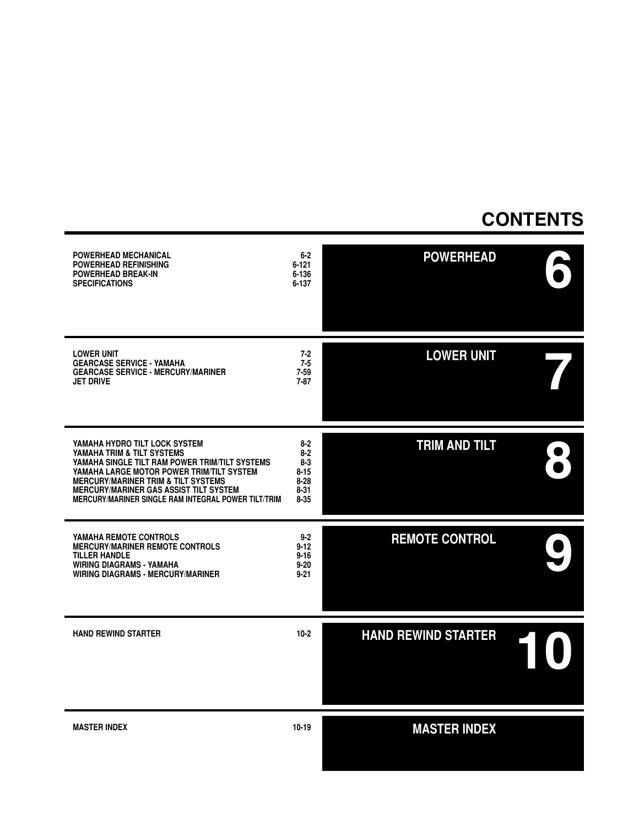#### **CONTENTS**

| <b>POWERHEAD MECHANICAL</b><br><b>POWERHEAD REFINISHING</b><br><b>POWERHEAD BREAK-IN</b><br><b>SPECIFICATIONS</b>                                                                                                                                                                                                           | $6 - 2$<br>$6 - 121$<br>6-136<br>$6 - 137$                                  | <b>POWERHEAD</b>           |
|-----------------------------------------------------------------------------------------------------------------------------------------------------------------------------------------------------------------------------------------------------------------------------------------------------------------------------|-----------------------------------------------------------------------------|----------------------------|
| <b>LOWER UNIT</b><br><b>GEARCASE SERVICE - YAMAHA</b><br><b>GEARCASE SERVICE - MERCURY/MARINER</b><br><b>JET DRIVE</b>                                                                                                                                                                                                      | $7 - 2$<br>$7 - 5$<br>$7 - 59$<br>$7 - 87$                                  | <b>LOWER UNIT</b>          |
| YAMAHA HYDRO TILT LOCK SYSTEM<br>YAMAHA TRIM & TILT SYSTEMS<br>YAMAHA SINGLE TILT RAM POWER TRIM/TILT SYSTEMS<br>YAMAHA LARGE MOTOR POWER TRIM/TILT SYSTEM<br><b>MERCURY/MARINER TRIM &amp; TILT SYSTEMS</b><br><b>MERCURY/MARINER GAS ASSIST TILT SYSTEM</b><br><b>MERCURY/MARINER SINGLE RAM INTEGRAL POWER TILT/TRIM</b> | $8 - 2$<br>$8 - 2$<br>$8-3$<br>$8 - 15$<br>$8 - 28$<br>$8 - 31$<br>$8 - 35$ | <b>TRIM AND TILT</b>       |
| YAMAHA REMOTE CONTROLS<br><b>MERCURY/MARINER REMOTE CONTROLS</b><br><b>TILLER HANDLE</b><br><b>WIRING DIAGRAMS - YAMAHA</b><br><b>WIRING DIAGRAMS - MERCURY/MARINER</b>                                                                                                                                                     | $9 - 2$<br>$9 - 12$<br>$9 - 16$<br>$9 - 20$<br>$9 - 21$                     | <b>REMOTE CONTROL</b>      |
| <b>HAND REWIND STARTER</b>                                                                                                                                                                                                                                                                                                  | $10-2$                                                                      | <b>HAND REWIND STARTER</b> |
| <b>MASTER INDEX</b>                                                                                                                                                                                                                                                                                                         | 10-19                                                                       | <b>MASTER INDEX</b>        |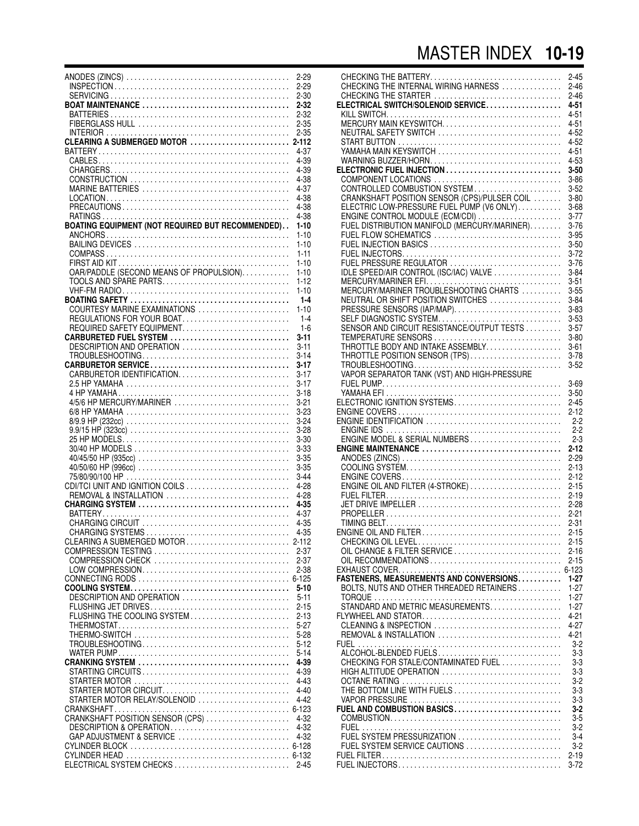## MASTER INDEX **10-19**

|                                                                                                     | $2 - 29$  |
|-----------------------------------------------------------------------------------------------------|-----------|
|                                                                                                     | $2 - 29$  |
|                                                                                                     |           |
|                                                                                                     | $2 - 30$  |
|                                                                                                     | 2-32      |
|                                                                                                     | $2 - 32$  |
|                                                                                                     | $2 - 35$  |
|                                                                                                     | $2 - 35$  |
|                                                                                                     |           |
|                                                                                                     | $2 - 112$ |
|                                                                                                     | 4-37      |
|                                                                                                     | 4-39      |
|                                                                                                     | 4-39      |
|                                                                                                     |           |
|                                                                                                     | 4-38      |
|                                                                                                     | 4-37      |
|                                                                                                     | 4-38      |
|                                                                                                     | 4-38      |
|                                                                                                     |           |
|                                                                                                     | 4-38      |
| BOATING EQUIPMENT (NOT REQUIRED BUT RECOMMENDED)                                                    | $1 - 10$  |
|                                                                                                     | $1 - 10$  |
|                                                                                                     |           |
|                                                                                                     | $1 - 10$  |
|                                                                                                     | $1 - 11$  |
|                                                                                                     | $1 - 10$  |
| OAR/PADDLE (SECOND MEANS OF PROPULSION).                                                            | $1 - 10$  |
|                                                                                                     |           |
| TOOLS AND SPARE PARTS                                                                               | $1 - 12$  |
|                                                                                                     | $1 - 10$  |
|                                                                                                     | $1 - 4$   |
| COURTESY MARINE EXAMINATIONS                                                                        | $1 - 10$  |
|                                                                                                     |           |
| REGULATIONS FOR YOUR BOAT                                                                           | $1 - 4$   |
| REQUIRED SAFETY EQUIPMENT                                                                           | $1 - 6$   |
| CARBURETED FUEL SYSTEM                                                                              | 3-11      |
| DESCRIPTION AND OPERATION                                                                           | $3 - 11$  |
|                                                                                                     |           |
|                                                                                                     | $3 - 14$  |
|                                                                                                     | $3 - 17$  |
| CARBURETOR IDENTIFICATION                                                                           | $3 - 17$  |
|                                                                                                     | $3 - 17$  |
|                                                                                                     |           |
|                                                                                                     | $3 - 18$  |
| 4/5/6 HP MERCURY/MARINER                                                                            | $3 - 21$  |
|                                                                                                     | $3 - 23$  |
|                                                                                                     | $3 - 24$  |
|                                                                                                     |           |
|                                                                                                     | $3 - 28$  |
|                                                                                                     | $3 - 30$  |
|                                                                                                     | 3-33      |
|                                                                                                     | $3 - 35$  |
|                                                                                                     |           |
|                                                                                                     | $3 - 35$  |
|                                                                                                     | $3 - 44$  |
| CDI/TCI UNIT AND IGNITION COILS                                                                     | 4-28      |
| REMOVAL & INSTALLATION                                                                              | 4-28      |
|                                                                                                     |           |
|                                                                                                     | $4 - 35$  |
|                                                                                                     | 4-37      |
|                                                                                                     | 4-35      |
|                                                                                                     | $4 - 35$  |
|                                                                                                     | $2 - 112$ |
|                                                                                                     |           |
|                                                                                                     | $2 - 37$  |
| COMPRESSION CHECK                                                                                   | $2 - 37$  |
|                                                                                                     | $2 - 38$  |
|                                                                                                     |           |
|                                                                                                     |           |
|                                                                                                     | $5 - 10$  |
| DESCRIPTION AND OPERATION                                                                           | $5 - 11$  |
| FLUSHING JET DRIVES                                                                                 | $2 - 15$  |
| FLUSHING THE COOLING SYSTEM                                                                         | $2 - 13$  |
|                                                                                                     |           |
|                                                                                                     | $5-27$    |
|                                                                                                     | $5 - 28$  |
|                                                                                                     | 5-12      |
|                                                                                                     | $5 - 14$  |
|                                                                                                     | 4-39      |
|                                                                                                     |           |
|                                                                                                     | 4-39      |
| STARTER MOTOR $\ldots \ldots \ldots \ldots \ldots \ldots \ldots \ldots \ldots \ldots \ldots \ldots$ | $4 - 43$  |
| STARTER MOTOR CIRCUIT                                                                               | $4 - 40$  |
| STARTER MOTOR RELAY/SOLENOID                                                                        | $4 - 42$  |
|                                                                                                     |           |
|                                                                                                     |           |
| CRANKSHAFT POSITION SENSOR (CPS)                                                                    | $4 - 32$  |
| DESCRIPTION & OPERATION                                                                             | 4-32      |
| GAP ADJUSTMENT & SERVICE                                                                            | 4-32      |
|                                                                                                     |           |
|                                                                                                     |           |
|                                                                                                     |           |
| ELECTRICAL SYSTEM CHECKS  2-45                                                                      |           |

|                                                                                 | $2 - 45$             |
|---------------------------------------------------------------------------------|----------------------|
| CHECKING THE STARTER                                                            | $2 - 46$<br>$2 - 46$ |
| ELECTRICAL SWITCH/SOLENOID SERVICE                                              | 4-51                 |
|                                                                                 | $4 - 51$             |
|                                                                                 | 4-51                 |
| NEUTRAL SAFETY SWITCH                                                           | 4-52<br>4-52         |
| YAMAHA MAIN KEYSWITCH                                                           | 4-51                 |
|                                                                                 | 4-53                 |
| ELECTRONIC FUEL INJECTION                                                       | $3 - 50$             |
| COMPONENT LOCATIONS<br>CONTROLLED COMBUSTION SYSTEM                             | $3 - 86$<br>$3 - 52$ |
| CRANKSHAFT POSITION SENSOR (CPS)/PULSER COIL                                    | $3 - 80$             |
| ELECTRIC LOW-PRESSURE FUEL PUMP (V6 ONLY)                                       | $3 - 68$             |
| ENGINE CONTROL MODULE (ECM/CDI)<br>FUEL DISTRIBUTION MANIFOLD (MERCURY/MARINER) | $3 - 77$             |
|                                                                                 | $3 - 76$<br>$3 - 95$ |
| FUEL FLOW SCHEMATICS<br>FUEL INJECTION BASICS                                   | $3 - 50$             |
|                                                                                 | $3 - 72$             |
| FUEL PRESSURE REGULATOR                                                         | $3 - 76$             |
| IDLE SPEED/AIR CONTROL (ISC/IAC) VALVE                                          | $3 - 84$             |
| MERCURY/MARINER EFI<br>MERCURY/MARINER TROUBLESHOOTING CHARTS                   | $3 - 51$<br>$3 - 55$ |
| NEUTRAL OR SHIFT POSITION SWITCHES                                              | $3 - 84$             |
| PRESSURE SENSORS (IAP/MAP)                                                      | $3 - 83$             |
| SELF DIAGNOSTIC SYSTEM                                                          | $3 - 53$             |
| SENSOR AND CIRCUIT RESISTANCE/OUTPUT TESTS<br>TEMPERATURE SENSORS               | $3 - 57$<br>$3 - 80$ |
| THROTTLE BODY AND INTAKE ASSEMBLY                                               | $3 - 61$             |
| THROTTLE POSITION SENSOR (TPS)                                                  | $3 - 78$             |
|                                                                                 | $3 - 52$             |
|                                                                                 |                      |
|                                                                                 | $3 - 69$<br>$3 - 50$ |
| ELECTRONIC IGNITION SYSTEMS                                                     | $2 - 45$             |
|                                                                                 | $2 - 12$             |
|                                                                                 | $2 - 2$              |
| ENGINE MODEL & SERIAL NUMBERS                                                   | $2 - 2$<br>$2 - 3$   |
| ENGINE MAINTENANCE                                                              | $2 - 12$             |
|                                                                                 | $2 - 29$             |
|                                                                                 | $2 - 13$<br>$2 - 12$ |
| ENGINE OIL AND FILTER (4-STROKE)                                                | $2 - 15$             |
|                                                                                 | $2 - 19$             |
|                                                                                 | $2 - 28$             |
|                                                                                 | $2 - 21$             |
|                                                                                 | $2 - 31$<br>$2 - 15$ |
|                                                                                 | $2 - 15$             |
| OIL CHANGE & FILTER SERVICE                                                     | $2 - 16$             |
| OIL RECOMMENDATIONS                                                             | $2 - 15$             |
| FASTENERS, MEASUREMENTS AND CONVERSIONS.                                        | $1-27$               |
| BOLTS, NUTS AND OTHER THREADED RETAINERS                                        | $1 - 27$             |
|                                                                                 | $1 - 27$             |
| STANDARD AND METRIC MEASUREMENTS                                                | $1 - 27$             |
| CLEANING & INSPECTION                                                           | 4-21<br>$4 - 27$     |
| REMOVAL & INSTALLATION                                                          | 4-21                 |
|                                                                                 | $3-2$                |
| ALCOHOL-BLENDED FUELS                                                           | $3-3$                |
| CHECKING FOR STALE/CONTAMINATED FUEL<br>HIGH ALTITUDE OPERATION                 | $3-3$                |
|                                                                                 |                      |
| THE BOTTOM LINE WITH FUELS                                                      | $3-3$<br>3-2         |
|                                                                                 | 3-3                  |
|                                                                                 | 3-3                  |
| FUEL AND COMBUSTION BASICS                                                      | 3-2                  |
|                                                                                 | 3-5<br>$3-2$         |
| FUEL SYSTEM PRESSURIZATION                                                      | 3-4                  |
| FUEL SYSTEM SERVICE CAUTIONS                                                    | $3-2$                |
|                                                                                 | $2 - 19$<br>$3 - 72$ |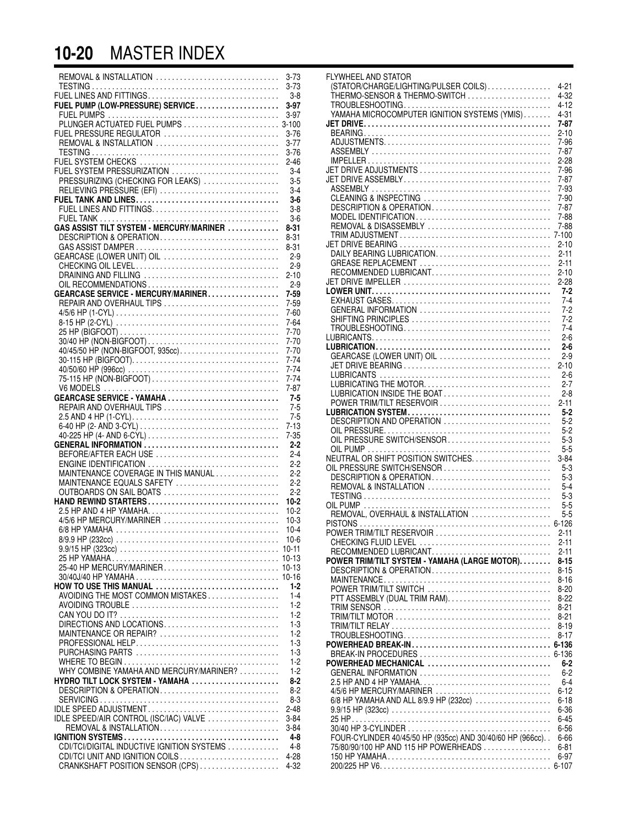#### **10-20** MASTER INDEX

| REMOVAL & INSTALLATION                                                                         | $3 - 73$<br>$3 - 73$ |
|------------------------------------------------------------------------------------------------|----------------------|
|                                                                                                | -3-8                 |
| FUEL PUMP (LOW-PRESSURE) SERVICE                                                               | $3 - 97$             |
|                                                                                                |                      |
| FUEL PRESSURE REGULATOR                                                                        |                      |
| REMOVAL & INSTALLATION                                                                         | $3 - 76$<br>$3 - 77$ |
|                                                                                                | $3 - 76$             |
|                                                                                                | $2 - 46$             |
| FUEL SYSTEM PRESSURIZATION                                                                     | $3-4$                |
| PRESSURIZING (CHECKING FOR LEAKS)                                                              | $3-5$                |
| RELIEVING PRESSURE (EFI)                                                                       | $3 - 4$<br>$3-6$     |
|                                                                                                | $3 - 8$              |
|                                                                                                | $3-6$                |
| GAS ASSIST TILT SYSTEM - MERCURY/MARINER                                                       | $8 - 31$             |
| DESCRIPTION & OPERATION                                                                        | $8 - 31$             |
| GEARCASE (LOWER UNIT) OIL                                                                      | $8 - 31$<br>$2-9$    |
|                                                                                                | $2 - 9$              |
|                                                                                                | $2 - 10$             |
|                                                                                                | $2 - 9$              |
| GEARCASE SERVICE - MERCURY/MARINER                                                             | $7 - 59$             |
| REPAIR AND OVERHAUL TIPS                                                                       | $7 - 59$<br>$7 - 60$ |
|                                                                                                | $7 - 64$             |
|                                                                                                | $7 - 70$             |
|                                                                                                | $7 - 70$             |
| 40/45/50 HP (NON-BIGFOOT, 935cc)                                                               | $7 - 70$             |
|                                                                                                | $7 - 74$<br>$7 - 74$ |
| 75-115 HP (NON-BIGFOOT)                                                                        | $7 - 74$             |
|                                                                                                | $7 - 87$             |
| GEARCASE SERVICE - YAMAHA                                                                      | $7 - 5$              |
| REPAIR AND OVERHAUL TIPS                                                                       | $7-5$                |
|                                                                                                | $7-5$<br>$7 - 13$    |
|                                                                                                | $7 - 35$             |
| GENERAL INFORMATION                                                                            | $2 - 2$              |
| BEFORE/AFTER EACH USE                                                                          | $2 - 4$              |
|                                                                                                | $2 - 2$              |
| MAINTENANCE COVERAGE IN THIS MANUAL<br>MAINTENANCE EQUALS SAFETY                               | $2 - 2$<br>$2 - 2$   |
| OUTBOARDS ON SAIL BOATS                                                                        | $2 - 2$              |
| HAND REWIND STARTERS                                                                           | $10-2$               |
|                                                                                                | $10-2$               |
| 4/5/6 HP MERCURY/MARINER                                                                       | $10-3$               |
| $6/8$ HP YAMAHA $\ldots \ldots \ldots \ldots \ldots \ldots \ldots \ldots \ldots \ldots \ldots$ | $10 - 4$<br>$10 - 6$ |
|                                                                                                |                      |
|                                                                                                |                      |
|                                                                                                |                      |
|                                                                                                |                      |
| HOW TO USE THIS MANUAL<br>AVOIDING THE MOST COMMON MISTAKES                                    | $1 - 2$<br>$1 - 4$   |
|                                                                                                | $1 - 2$              |
|                                                                                                | $1-2$                |
| DIRECTIONS AND LOCATIONS                                                                       | $1 - 3$              |
| MAINTENANCE OR REPAIR?                                                                         | $1 - 2$              |
|                                                                                                | $1 - 3$              |
|                                                                                                | $1 - 3$<br>$1 - 2$   |
| WHY COMBINE YAMAHA AND MERCURY/MARINER?                                                        | $1 - 2$              |
| HYDRO TILT LOCK SYSTEM - YAMAHA                                                                | $8 - 2$              |
| DESCRIPTION & OPERATION                                                                        | $8 - 2$              |
| IDLE SPEED ADJUSTMENT                                                                          | $8-3$                |
| IDLE SPEED/AIR CONTROL (ISC/IAC) VALVE                                                         | $2 - 48$<br>$3 - 84$ |
|                                                                                                | $3 - 84$             |
|                                                                                                | 4-8                  |
| CDI/TCI/DIGITAL INDUCTIVE IGNITION SYSTEMS                                                     | $4 - 8$              |
|                                                                                                | 4-28                 |
|                                                                                                | 4-32                 |

| FLYWHEEL AND STATOR                                                                                |                       |
|----------------------------------------------------------------------------------------------------|-----------------------|
| (STATOR/CHARGE/LIGHTING/PULSER COILS)<br>THERMO-SENSOR & THERMO-SWITCH                             | 4-21<br>$4 - 32$      |
|                                                                                                    | $4 - 12$              |
|                                                                                                    | 4-31                  |
|                                                                                                    | 7-87                  |
|                                                                                                    | $2 - 10$              |
|                                                                                                    | 7-96                  |
|                                                                                                    | $7 - 87$              |
|                                                                                                    | $2 - 28$              |
|                                                                                                    | 7-96<br>$7 - 87$      |
|                                                                                                    | 7-93                  |
| CLEANING & INSPECTING                                                                              | $7 - 90$              |
| $DESCRIPITION$ & OPERATION $\ldots, \ldots, \ldots, \ldots, \ldots, \ldots, \ldots$                | $7 - 87$              |
| MODEL IDENTIFICATION                                                                               | 7-88                  |
| REMOVAL & DISASSEMBLY                                                                              | 7-88                  |
|                                                                                                    | $7 - 100$<br>$2 - 10$ |
| DAILY BEARING LUBRICATION.                                                                         | $2 - 11$              |
| GREASE REPLACEMENT                                                                                 | $2 - 11$              |
| RECOMMENDED LUBRICANT                                                                              | $2 - 10$              |
|                                                                                                    | $2-28$                |
|                                                                                                    | 7-2                   |
|                                                                                                    | $7 - 4$               |
| GENERAL INFORMATION                                                                                | $7-2$<br>$7-2$        |
|                                                                                                    | $7 - 4$               |
|                                                                                                    | $2 - 6$               |
|                                                                                                    | $2 - 6$               |
| GEARCASE (LOWER UNIT) OIL                                                                          | $2-9$                 |
|                                                                                                    | $2 - 10$              |
|                                                                                                    | $2 - 6$               |
| LUBRICATING THE MOTOR                                                                              | $2 - 7$               |
| LUBRICATION INSIDE THE BOAT<br>POWER TRIM/TILT RESERVOIR                                           | $2 - 8$<br>$2 - 11$   |
|                                                                                                    | $5 - 2$               |
| DESCRIPTION AND OPERATION                                                                          | $5 - 2$               |
|                                                                                                    | $5 - 2$               |
| OIL PRESSURE SWITCH/SENSOR                                                                         | $5-3$                 |
|                                                                                                    | $5 - 5$               |
| NEUTRAL OR SHIFT POSITION SWITCHES.<br>OIL PRESSURE SWITCH/SENSOR                                  | $3 - 84$<br>$5-3$     |
| DESCRIPTION & OPERATION                                                                            | $5-3$                 |
| REMOVAL & INSTALLATION                                                                             | $5 - 4$               |
|                                                                                                    | $5-3$                 |
|                                                                                                    | $5 - 5$               |
| REMOVAL, OVERHAUL & INSTALLATION                                                                   | 5-5                   |
| POWER TRIM/TILT RESERVOIR                                                                          | $6 - 126$             |
|                                                                                                    | $2 - 11$<br>2-11      |
|                                                                                                    | $2 - 11$              |
| POWER TRIM/TILT SYSTEM - YAMAHA (LARGE MOTOR)                                                      | $8 - 15$              |
| DESCRIPTION & OPERATION                                                                            | $8 - 15$              |
|                                                                                                    | $8 - 16$              |
| POWER TRIM/TILT SWITCH                                                                             | $8 - 20$              |
|                                                                                                    | $8 - 22$<br>$8 - 21$  |
|                                                                                                    | $8-21$                |
|                                                                                                    | $8 - 19$              |
|                                                                                                    | $8 - 17$              |
|                                                                                                    | 6-136                 |
|                                                                                                    | 6-136                 |
| POWERHEAD MECHANICAL<br>GENERAL INFORMATION                                                        | $6 - 2$               |
|                                                                                                    | $6 - 2$<br>$6 - 4$    |
| 4/5/6 HP MERCURY/MARINER                                                                           | $6 - 12$              |
| 6/8 HP YAMAHA AND ALL 8/9.9 HP (232cc)                                                             | $6 - 18$              |
|                                                                                                    | $6 - 36$              |
|                                                                                                    | $6 - 45$              |
|                                                                                                    | $6 - 56$              |
| FOUR-CYLINDER 40/45/50 HP (935cc) AND 30/40/60 HP (966cc)<br>75/80/90/100 HP AND 115 HP POWERHEADS | $6 - 66$              |
|                                                                                                    | $6 - 81$<br>6-97      |
|                                                                                                    |                       |
|                                                                                                    |                       |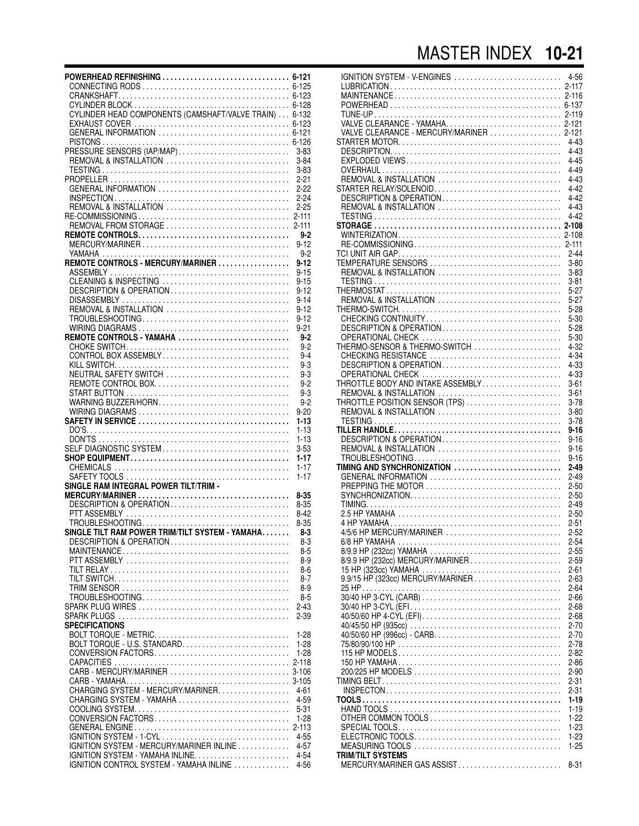### MASTER INDEX **10-21**

| REMOVAL & INSTALLATION                            | $3 - 84$              |
|---------------------------------------------------|-----------------------|
|                                                   | $3 - 83$<br>$2 - 21$  |
| GENERAL INFORMATION                               | 2-22                  |
|                                                   | $2 - 24$              |
|                                                   |                       |
|                                                   |                       |
|                                                   |                       |
|                                                   | $9 - 2$               |
|                                                   | $9 - 12$              |
| REMOTE CONTROLS - MERCURY/MARINER                 | $9-2$<br>$9 - 12$     |
|                                                   | $9 - 15$              |
| CLEANING & INSPECTING                             | $9 - 15$              |
| DESCRIPTION & OPERATION                           | $9 - 12$              |
|                                                   | $9 - 14$              |
|                                                   | $9 - 12$              |
|                                                   | $9 - 12$              |
|                                                   | $9 - 21$              |
| REMOTE CONTROLS - YAMAHA                          | $9 - 2$<br>$9 - 2$    |
| CONTROL BOX ASSEMBLY                              | $9 - 4$               |
|                                                   | $9-3$                 |
| NEUTRAL SAFETY SWITCH                             | $9-3$                 |
| REMOTE CONTROL BOX                                | $9 - 2$               |
|                                                   | $9-3$                 |
|                                                   | $9 - 2$               |
|                                                   | $9 - 20$              |
|                                                   | $1 - 13$<br>$1 - 13$  |
|                                                   | $1 - 13$              |
| SELF DIAGNOSTIC SYSTEM                            | $3 - 53$              |
|                                                   | $1 - 17$              |
|                                                   | $1 - 17$              |
|                                                   | $1 - 17$              |
| SINGLE RAM INTEGRAL POWER TILT/TRIM -             | $8 - 35$              |
| DESCRIPTION & OPERATION                           | $8 - 35$              |
|                                                   | $8 - 42$              |
|                                                   | $8 - 35$              |
| SINGLE TILT RAM POWER TRIM/TILT SYSTEM - YAMAHA   | $8-3$                 |
| DESCRIPTION & OPERATION                           | $8-3$                 |
|                                                   | 8-5                   |
|                                                   | $8-9$<br>$8-6$        |
|                                                   | $8-7$                 |
|                                                   | $8-9$                 |
|                                                   | $8-5$                 |
|                                                   | $2 - 43$              |
|                                                   | $2 - 39$              |
| <b>SPECIFICATIONS</b>                             |                       |
|                                                   | $1 - 28$              |
| BOLT TORQUE - U.S. STANDARD<br>CONVERSION FACTORS | $1-28$<br>$1-28$      |
|                                                   | $2 - 118$             |
| CARB - MERCURY/MARINER                            | $3 - 106$             |
|                                                   |                       |
| CHARGING SYSTEM - MERCURY/MARINER.                | 4-61                  |
| CHARGING SYSTEM - YAMAHA                          | 4-59                  |
|                                                   | $5 - 31$              |
|                                                   | $1 - 28$<br>$2 - 113$ |
| IGNITION SYSTEM - 1-CYL                           | $4 - 55$              |
| IGNITION SYSTEM - MERCURY/MARINER INLINE          | $4 - 57$              |
| IGNITION SYSTEM - YAMAHA INLINE                   | $4 - 54$              |
| IGNITION CONTROL SYSTEM - YAMAHA INLINE           | 4-56                  |

| IGNITION SYSTEM - V-ENGINES              | $4 - 56$  |
|------------------------------------------|-----------|
|                                          |           |
|                                          |           |
|                                          | $2 - 116$ |
|                                          | 6-137     |
|                                          |           |
|                                          |           |
|                                          |           |
| VALVE CLEARANCE - MERCURY/MARINER  2-121 |           |
|                                          |           |
|                                          | 4-43      |
|                                          | $4 - 43$  |
|                                          | $4 - 45$  |
|                                          |           |
|                                          | $4 - 49$  |
| REMOVAL & INSTALLATION                   | $4 - 43$  |
| STARTER RELAY/SOLENOID                   |           |
|                                          | $4 - 42$  |
| DESCRIPTION & OPERATION                  | $4 - 42$  |
| REMOVAL & INSTALLATION                   | $4 - 43$  |
|                                          |           |
|                                          | $4 - 42$  |
|                                          |           |
|                                          |           |
|                                          |           |
|                                          | $2 - 111$ |
|                                          | $2 - 44$  |
|                                          |           |
|                                          | $3 - 80$  |
| REMOVAL & INSTALLATION                   | $3 - 83$  |
|                                          | $3 - 81$  |
|                                          |           |
|                                          | $5-27$    |
| REMOVAL & INSTALLATION                   | $5-27$    |
|                                          |           |
|                                          | $5-28$    |
| CHECKING CONTINUITY                      | $5 - 30$  |
| DESCRIPTION & OPERATION                  | $5-28$    |
|                                          |           |
|                                          | $5 - 30$  |
| THERMO-SENSOR & THERMO-SWITCH            | $4 - 32$  |
| CHECKING RESISTANCE                      |           |
|                                          | 4-34      |
|                                          | 4-33      |
|                                          | 4-33      |
| THROTTLE BODY AND INTAKE ASSEMBLY        |           |
|                                          | $3 - 61$  |
| REMOVAL & INSTALLATION                   | $3 - 61$  |
| THROTTLE POSITION SENSOR (TPS)           | $3 - 78$  |
|                                          |           |
| REMOVAL & INSTALLATION                   | $3 - 80$  |
|                                          | $3 - 78$  |
|                                          | $9 - 16$  |
|                                          |           |
| DESCRIPTION & OPERATION                  | $9 - 16$  |
| REMOVAL & INSTALLATION                   | $9 - 16$  |
|                                          | $9 - 16$  |
|                                          |           |
| TIMING AND SYNCHRONIZATION               | $2 - 49$  |
| GENERAL INFORMATION                      | $2 - 49$  |
|                                          | $2 - 50$  |
|                                          |           |
|                                          | $2 - 50$  |
|                                          | $2 - 49$  |
|                                          |           |
|                                          | $2 - 50$  |
|                                          | $2 - 51$  |
| 4/5/6 HP MERCURY/MARINER                 | $2 - 52$  |
|                                          |           |
|                                          | 2-54      |
| 8/9.9 HP (232cc) YAMAHA                  | $2 - 55$  |
| 8/9.9 HP (232cc) MERCURY/MARINER         | $2 - 59$  |
|                                          |           |
|                                          | $2 - 61$  |
| 9.9/15 HP (323cc) MERCURY/MARINER        | $2 - 63$  |
|                                          | $2 - 64$  |
|                                          |           |
|                                          | $2 - 66$  |
|                                          | $2 - 68$  |
|                                          | $2 - 68$  |
|                                          |           |
|                                          | $2 - 70$  |
|                                          |           |
|                                          |           |
|                                          | $2 - 70$  |
|                                          | $2 - 78$  |
|                                          | $2 - 82$  |
|                                          |           |
|                                          | $2 - 86$  |
|                                          | $2 - 90$  |
|                                          | $2 - 31$  |
|                                          |           |
|                                          | $2 - 31$  |
|                                          | $1 - 19$  |
|                                          | $1 - 19$  |
|                                          |           |
|                                          | $1-22$    |
|                                          | $1 - 23$  |
|                                          | $1 - 23$  |
|                                          |           |
|                                          | $1 - 25$  |
| <b>TRIM/TILT SYSTEMS</b>                 |           |
| MERCURY/MARINER GAS ASSIST               | $8 - 31$  |